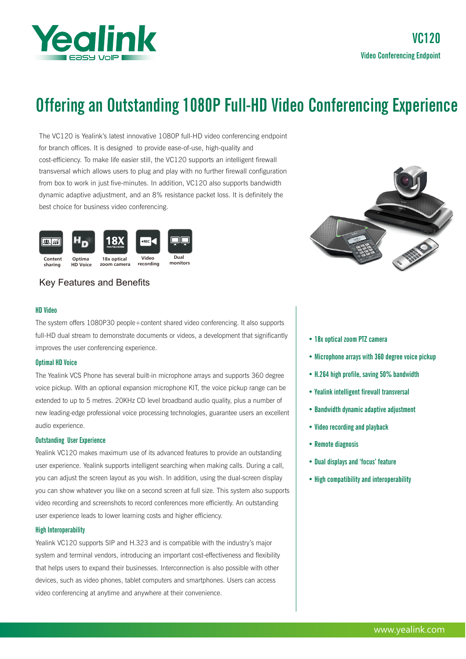

# Offering an Outstanding 1080P Full-HD Video Conferencing Experience

The VC120 is Yealink's latest innovative 1080P full-HD video conferencing endpoint for branch offices. It is designed to provide ease-of-use, high-quality and cost-efficiency. To make life easier still, the VC120 supports an intelligent firewall transversal which allows users to plug and play with no further firewall configuration from box to work in just five-minutes. In addition, VC120 also supports bandwidth dynamic adaptive adjustment, and an 8% resistance packet loss. It is definitely the best choice for business video conferencing.



# Key Features and Benefits

## HD Video

The system offers 1080P30 people+content shared video conferencing. It also supports full-HD dual stream to demonstrate documents or videos, a development that significantly improves the user conferencing experience.

### Optimal HD Voice

The Yealink VCS Phone has several built-in microphone arrays and supports 360 degree voice pickup. With an optional expansion microphone KIT, the voice pickup range can be extended to up to 5 metres. 20KHz CD level broadband audio quality, plus a number of new leading-edge professional voice processing technologies, guarantee users an excellent audio experience.

#### Outstanding User Experience

Yealink VC120 makes maximum use of its advanced features to provide an outstanding user experience. Yealink supports intelligent searching when making calls. During a call, you can adjust the screen layout as you wish. In addition, using the dual-screen display you can show whatever you like on a second screen at full size. This system also supports video recording and screenshots to record conferences more efficiently. An outstanding user experience leads to lower learning costs and higher efficiency.

#### High Interoperability

Yealink VC120 supports SIP and H.323 and is compatible with the industry's major system and terminal vendors, introducing an important cost-effectiveness and flexibility that helps users to expand their businesses. Interconnection is also possible with other devices, such as video phones, tablet computers and smartphones. Users can access video conferencing at anytime and anywhere at their convenience.



- 18x optical zoom PTZ camera
- Microphone arrays with 360 degree voice pickup
- H.264 high profile, saving 50% bandwidth
- Yealink intelligent firewall transversal
- Bandwidth dynamic adaptive adjustment
- Video recording and playback
- Remote diagnosis
- Dual displays and 'focus' feature
- High compatibility and interoperability